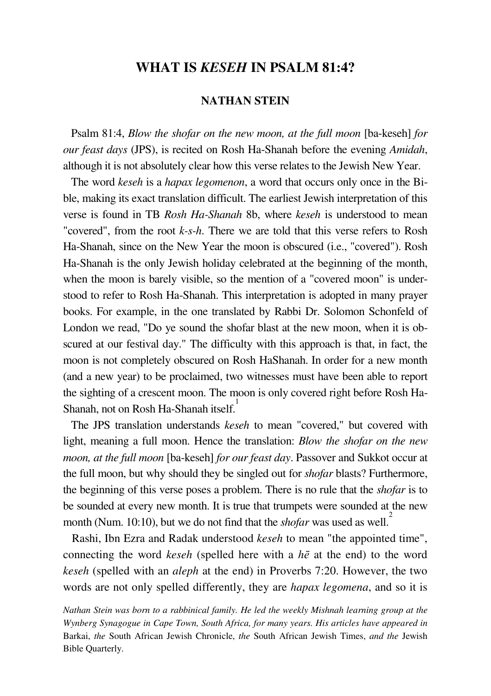#### **WHAT IS** *KESEH* **IN PSALM 81:4?**

#### **NATHAN STEIN**

 Psalm 81:4, *Blow the shofar on the new moon, at the full moon* [ba-keseh] *for our feast days* (JPS), is recited on Rosh Ha-Shanah before the evening *Amidah*, although it is not absolutely clear how this verse relates to the Jewish New Year.

 The word *keseh* is a *hapax legomenon*, a word that occurs only once in the Bible, making its exact translation difficult. The earliest Jewish interpretation of this verse is found in TB *Rosh Ha-Shanah* 8b, where *keseh* is understood to mean "covered", from the root *k-s-h*. There we are told that this verse refers to Rosh Ha-Shanah, since on the New Year the moon is obscured (i.e., "covered"). Rosh Ha-Shanah is the only Jewish holiday celebrated at the beginning of the month, when the moon is barely visible, so the mention of a "covered moon" is understood to refer to Rosh Ha-Shanah. This interpretation is adopted in many prayer books. For example, in the one translated by Rabbi Dr. Solomon Schonfeld of London we read, "Do ye sound the shofar blast at the new moon, when it is obscured at our festival day." The difficulty with this approach is that, in fact, the moon is not completely obscured on Rosh HaShanah. In order for a new month (and a new year) to be proclaimed, two witnesses must have been able to report the sighting of a crescent moon. The moon is only covered right before Rosh Ha-Shanah, not on Rosh Ha-Shanah itself.<sup>1</sup>

 The JPS translation understands *keseh* to mean "covered," but covered with light, meaning a full moon. Hence the translation: *Blow the shofar on the new moon, at the full moon* [ba-keseh] *for our feast day*. Passover and Sukkot occur at the full moon, but why should they be singled out for *shofar* blasts? Furthermore, the beginning of this verse poses a problem. There is no rule that the *shofar* is to be sounded at every new month. It is true that trumpets were sounded at the new month (Num. 10:10), but we do not find that the *shofar* was used as well.<sup>2</sup>

 Rashi, Ibn Ezra and Radak understood *keseh* to mean "the appointed time", connecting the word *keseh* (spelled here with a *h*ē at the end) to the word *keseh* (spelled with an *aleph* at the end) in Proverbs 7:20. However, the two words are not only spelled differently, they are *hapax legomena*, and so it is

*Nathan Stein was born to a rabbinical family. He led the weekly Mishnah learning group at the Wynberg Synagogue in Cape Town, South Africa, for many years. His articles have appeared in*  Barkai, *the* South African Jewish Chronicle, *the* South African Jewish Times, *and the* Jewish Bible Quarterly.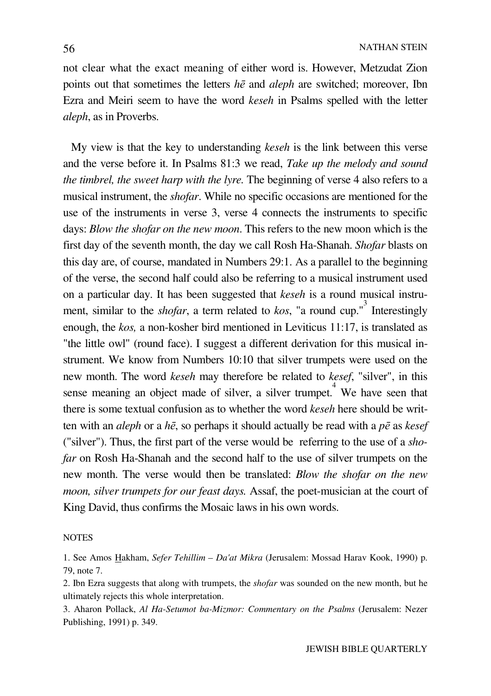not clear what the exact meaning of either word is. However, Metzudat Zion points out that sometimes the letters *h*ē and *aleph* are switched; moreover, Ibn Ezra and Meiri seem to have the word *keseh* in Psalms spelled with the letter *aleph*, as in Proverbs.

 My view is that the key to understanding *keseh* is the link between this verse and the verse before it. In Psalms 81:3 we read, *Take up the melody and sound the timbrel, the sweet harp with the lyre.* The beginning of verse 4 also refers to a musical instrument, the *shofar*. While no specific occasions are mentioned for the use of the instruments in verse 3, verse 4 connects the instruments to specific days: *Blow the shofar on the new moon*. This refers to the new moon which is the first day of the seventh month, the day we call Rosh Ha-Shanah. *Shofar* blasts on this day are, of course, mandated in Numbers 29:1. As a parallel to the beginning of the verse, the second half could also be referring to a musical instrument used on a particular day. It has been suggested that *keseh* is a round musical instrument, similar to the *shofar*, a term related to *kos*, "a round cup."<sup>3</sup> Interestingly enough, the *kos,* a non-kosher bird mentioned in Leviticus 11:17, is translated as "the little owl" (round face). I suggest a different derivation for this musical instrument. We know from Numbers 10:10 that silver trumpets were used on the new month. The word *keseh* may therefore be related to *kesef*, "silver", in this sense meaning an object made of silver, a silver trumpet.<sup>4</sup> We have seen that there is some textual confusion as to whether the word *keseh* here should be written with an *aleph* or a *h*ē, so perhaps it should actually be read with a *p*ē as *kesef*  ("silver"). Thus, the first part of the verse would be referring to the use of a *shofar* on Rosh Ha-Shanah and the second half to the use of silver trumpets on the new month. The verse would then be translated: *Blow the shofar on the new moon, silver trumpets for our feast days.* Assaf, the poet-musician at the court of King David, thus confirms the Mosaic laws in his own words.

#### **NOTES**

1. See Amos Hakham, *Sefer Tehillim – Da'at Mikra* (Jerusalem: Mossad Harav Kook, 1990) p. 79, note 7.

2. Ibn Ezra suggests that along with trumpets, the *shofar* was sounded on the new month, but he ultimately rejects this whole interpretation.

3. Aharon Pollack, *Al Ha-Setumot ba-Mizmor: Commentary on the Psalms* (Jerusalem: Nezer Publishing, 1991) p. 349.